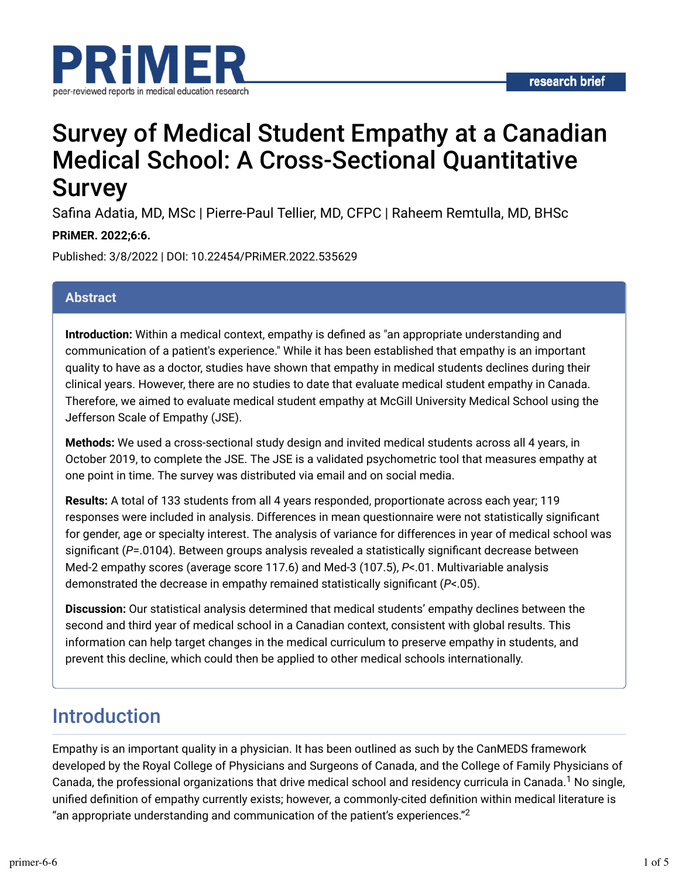

# Survey of Medical Student Empathy at a Canadian Medical School: A Cross-Sectional Quantitative Survey

Safina Adatia, MD, MSc | Pierre-Paul Tellier, MD, CFPC | Raheem Remtulla, MD, BHSc

#### **PRiMER. 2022;6:6.**

Published: 3/8/2022 | DOI: 10.22454/PRiMER.2022.535629

#### **Abstract**

**Introduction:** Within a medical context, empathy is defined as "an appropriate understanding and communication of a patient's experience." While it has been established that empathy is an important quality to have as a doctor, studies have shown that empathy in medical students declines during their clinical years. However, there are no studies to date that evaluate medical student empathy in Canada. Therefore, we aimed to evaluate medical student empathy at McGill University Medical School using the Jefferson Scale of Empathy (JSE).

**Methods:** We used a cross-sectional study design and invited medical students across all 4 years, in October 2019, to complete the JSE. The JSE is a validated psychometric tool that measures empathy at one point in time. The survey was distributed via email and on social media.

**Results:** A total of 133 students from all 4 years responded, proportionate across each year; 119 responses were included in analysis. Differences in mean questionnaire were not statistically significant for gender, age or specialty interest. The analysis of variance for differences in year of medical school was significant (P=.0104). Between groups analysis revealed a statistically significant decrease between Med-2 empathy scores (average score 117.6) and Med-3 (107.5), *P*<.01. Multivariable analysis demonstrated the decrease in empathy remained statistically significant (*P*<.05).

**Discussion:** Our statistical analysis determined that medical students' empathy declines between the second and third year of medical school in a Canadian context, consistent with global results. This information can help target changes in the medical curriculum to preserve empathy in students, and prevent this decline, which could then be applied to other medical schools internationally.

# Introduction

Empathy is an important quality in a physician. It has been outlined as such by the CanMEDS framework developed by the Royal College of Physicians and Surgeons of Canada, and the College of Family Physicians of Canada, the professional organizations that drive medical school and residency curricula in Canada. $^1$  No single, unified definition of empathy currently exists; however, a commonly-cited definition within medical literature is "an appropriate understanding and communication of the patient's experiences."<sup>2</sup>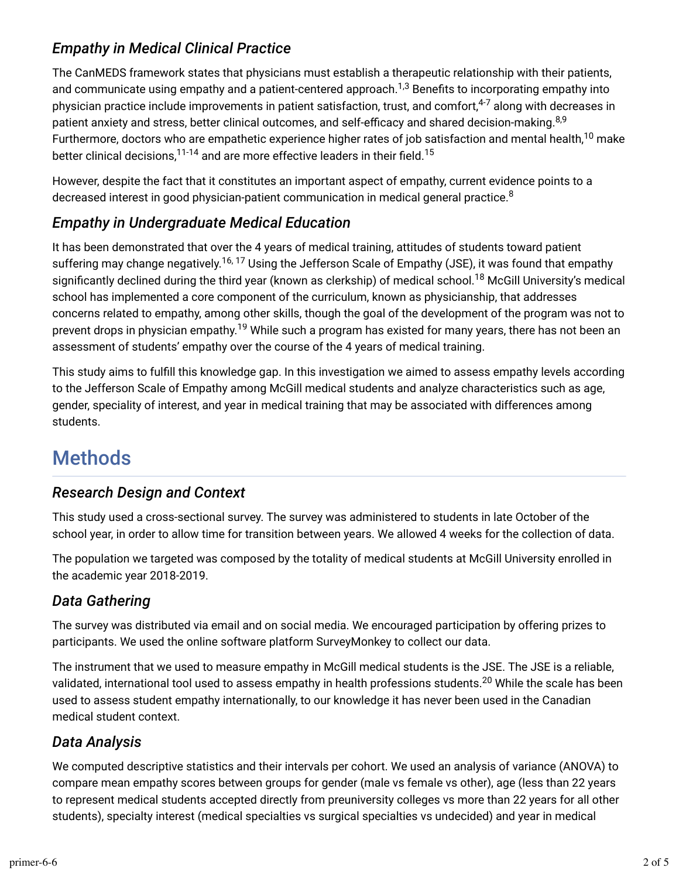## *Empathy in Medical Clinical Practice*

The CanMEDS framework states that physicians must establish a therapeutic relationship with their patients, and communicate using empathy and a patient-centered approach. $^{1,3}$  Benefits to incorporating empathy into physician practice include improvements in patient satisfaction, trust, and comfort,<sup>4-7</sup> along with decreases in patient anxiety and stress, better clinical outcomes, and self-efficacy and shared decision-making.<sup>8,9</sup> Furthermore, doctors who are empathetic experience higher rates of job satisfaction and mental health, $^{10}$  make better clinical decisions, $^{11\text{-}14}$  and are more effective leaders in their field. $^{15}$ 

However, despite the fact that it constitutes an important aspect of empathy, current evidence points to a decreased interest in good physician-patient communication in medical general practice. $^8$ 

## *Empathy in Undergraduate Medical Education*

It has been demonstrated that over the 4 years of medical training, attitudes of students toward patient suffering may change negatively.<sup>16, 17</sup> Using the Jefferson Scale of Empathy (JSE), it was found that empathy significantly declined during the third year (known as clerkship) of medical school.<sup>18</sup> McGill University's medical school has implemented a core component of the curriculum, known as physicianship, that addresses concerns related to empathy, among other skills, though the goal of the development of the program was not to prevent drops in physician empathy.<sup>19</sup> While such a program has existed for many years, there has not been an assessment of students' empathy over the course of the 4 years of medical training.

This study aims to fulfill this knowledge gap. In this investigation we aimed to assess empathy levels according to the Jefferson Scale of Empathy among McGill medical students and analyze characteristics such as age, gender, speciality of interest, and year in medical training that may be associated with differences among students.

# **Methods**

### *Research Design and Context*

This study used a cross-sectional survey. The survey was administered to students in late October of the school year, in order to allow time for transition between years. We allowed 4 weeks for the collection of data.

The population we targeted was composed by the totality of medical students at McGill University enrolled in the academic year 2018-2019.

## *Data Gathering*

The survey was distributed via email and on social media. We encouraged participation by offering prizes to participants. We used the online software platform SurveyMonkey to collect our data.

The instrument that we used to measure empathy in McGill medical students is the JSE. The JSE is a reliable, validated, international tool used to assess empathy in health professions students.<sup>20</sup> While the scale has been used to assess student empathy internationally, to our knowledge it has never been used in the Canadian medical student context.

## *Data Analysis*

We computed descriptive statistics and their intervals per cohort. We used an analysis of variance (ANOVA) to compare mean empathy scores between groups for gender (male vs female vs other), age (less than 22 years to represent medical students accepted directly from preuniversity colleges vs more than 22 years for all other students), specialty interest (medical specialties vs surgical specialties vs undecided) and year in medical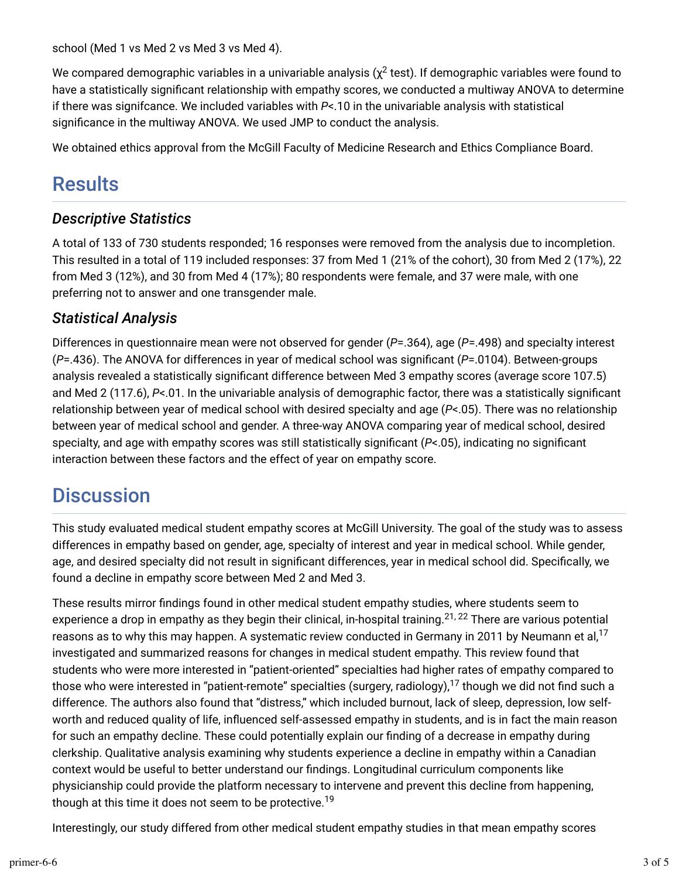school (Med 1 vs Med 2 vs Med 3 vs Med 4).

We compared demographic variables in a univariable analysis ( $\chi^2$  test). If demographic variables were found to have a statistically significant relationship with empathy scores, we conducted a multiway ANOVA to determine if there was signifcance. We included variables with *P*<.10 in the univariable analysis with statistical significance in the multiway ANOVA. We used JMP to conduct the analysis.

We obtained ethics approval from the McGill Faculty of Medicine Research and Ethics Compliance Board.

# Results

### *Descriptive Statistics*

A total of 133 of 730 students responded; 16 responses were removed from the analysis due to incompletion. This resulted in a total of 119 included responses: 37 from Med 1 (21% of the cohort), 30 from Med 2 (17%), 22 from Med 3 (12%), and 30 from Med 4 (17%); 80 respondents were female, and 37 were male, with one preferring not to answer and one transgender male.

### *Statistical Analysis*

Differences in questionnaire mean were not observed for gender (*P*=.364), age (*P*=.498) and specialty interest ( $P = .436$ ). The ANOVA for differences in year of medical school was significant ( $P = .0104$ ). Between-groups analysis revealed a statistically significant difference between Med 3 empathy scores (average score 107.5) and Med 2 (117.6), P<.01. In the univariable analysis of demographic factor, there was a statistically significant relationship between year of medical school with desired specialty and age (*P*<.05). There was no relationship between year of medical school and gender. A three-way ANOVA comparing year of medical school, desired specialty, and age with empathy scores was still statistically significant ( $P$ <.05), indicating no significant interaction between these factors and the effect of year on empathy score.

# **Discussion**

This study evaluated medical student empathy scores at McGill University. The goal of the study was to assess differences in empathy based on gender, age, specialty of interest and year in medical school. While gender, age, and desired specialty did not result in significant differences, year in medical school did. Specifically, we found a decline in empathy score between Med 2 and Med 3.

These results mirror findings found in other medical student empathy studies, where students seem to experience a drop in empathy as they begin their clinical, in-hospital training.<sup>21, 22</sup> There are various potential reasons as to why this may happen. A systematic review conducted in Germany in 2011 by Neumann et al, $^{17}$ investigated and summarized reasons for changes in medical student empathy. This review found that students who were more interested in "patient-oriented" specialties had higher rates of empathy compared to those who were interested in "patient-remote" specialties (surgery, radiology), $^{17}$  though we did not find such a difference. The authors also found that "distress," which included burnout, lack of sleep, depression, low selfworth and reduced quality of life, influenced self-assessed empathy in students, and is in fact the main reason for such an empathy decline. These could potentially explain our finding of a decrease in empathy during clerkship. Qualitative analysis examining why students experience a decline in empathy within a Canadian context would be useful to better understand our findings. Longitudinal curriculum components like physicianship could provide the platform necessary to intervene and prevent this decline from happening, though at this time it does not seem to be protective.<sup>19</sup>

Interestingly, our study differed from other medical student empathy studies in that mean empathy scores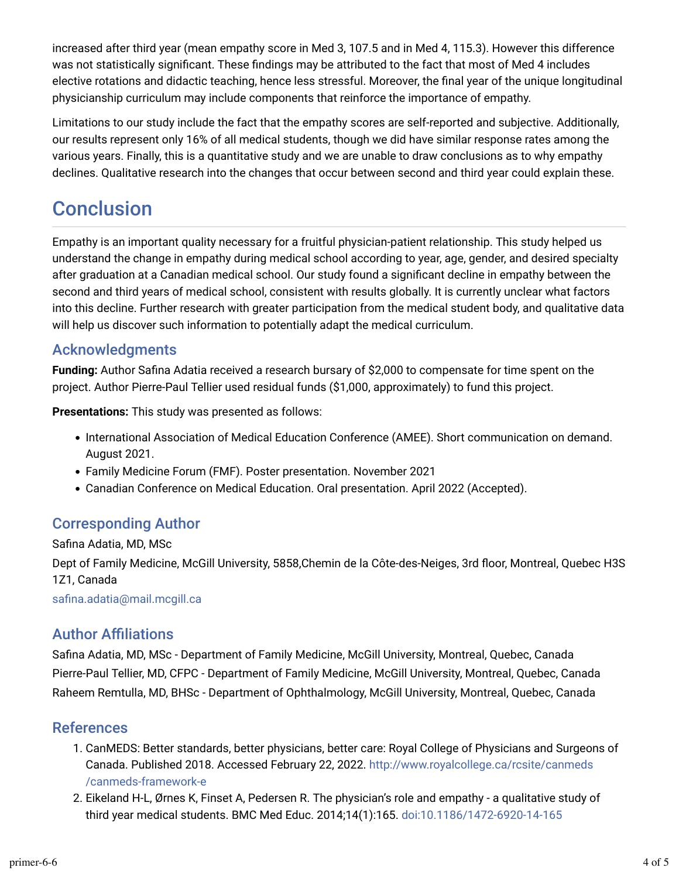increased after third year (mean empathy score in Med 3, 107.5 and in Med 4, 115.3). However this difference was not statistically significant. These findings may be attributed to the fact that most of Med 4 includes elective rotations and didactic teaching, hence less stressful. Moreover, the final year of the unique longitudinal physicianship curriculum may include components that reinforce the importance of empathy.

Limitations to our study include the fact that the empathy scores are self-reported and subjective. Additionally, our results represent only 16% of all medical students, though we did have similar response rates among the various years. Finally, this is a quantitative study and we are unable to draw conclusions as to why empathy declines. Qualitative research into the changes that occur between second and third year could explain these.

# **Conclusion**

Empathy is an important quality necessary for a fruitful physician-patient relationship. This study helped us understand the change in empathy during medical school according to year, age, gender, and desired specialty after graduation at a Canadian medical school. Our study found a significant decline in empathy between the second and third years of medical school, consistent with results globally. It is currently unclear what factors into this decline. Further research with greater participation from the medical student body, and qualitative data will help us discover such information to potentially adapt the medical curriculum.

### Acknowledgments

**Funding:** Author Safina Adatia received a research bursary of \$2,000 to compensate for time spent on the project. Author Pierre-Paul Tellier used residual funds (\$1,000, approximately) to fund this project.

**Presentations:** This study was presented as follows:

- International Association of Medical Education Conference (AMEE). Short communication on demand. August 2021.
- Family Medicine Forum (FMF). Poster presentation. November 2021
- Canadian Conference on Medical Education. Oral presentation. April 2022 (Accepted).

## Corresponding Author

Safina Adatia, MD, MSc Dept of Family Medicine, McGill University, 5858,Chemin de la Côte-des-Neiges, 3rd floor, Montreal, Quebec H3S 1Z1, Canada

safina.adatia@mail.mcgill.ca

### **Author Affiliations**

Safina Adatia, MD, MSc - Department of Family Medicine, McGill University, Montreal, Quebec, Canada Pierre-Paul Tellier, MD, CFPC - Department of Family Medicine, McGill University, Montreal, Quebec, Canada Raheem Remtulla, MD, BHSc - Department of Ophthalmology, McGill University, Montreal, Quebec, Canada

#### References

- 1. CanMEDS: Better standards, better physicians, better care: Royal College of Physicians and Surgeons of Canada. Published 2018. Accessed February 22, 2022. [http://www.royalcollege.ca/rcsite/canmeds](http://www.royalcollege.ca/rcsite/canmeds/canmeds-framework-e) [/canmeds-framework-e](http://www.royalcollege.ca/rcsite/canmeds/canmeds-framework-e)
- 2. Eikeland H-L, Ørnes K, Finset A, Pedersen R. The physician's role and empathy a qualitative study of third year medical students. BMC Med Educ. 2014;14(1):165. [doi:10.1186/1472-6920-14-165](https://doi.org/10.1186/1472-6920-14-165)